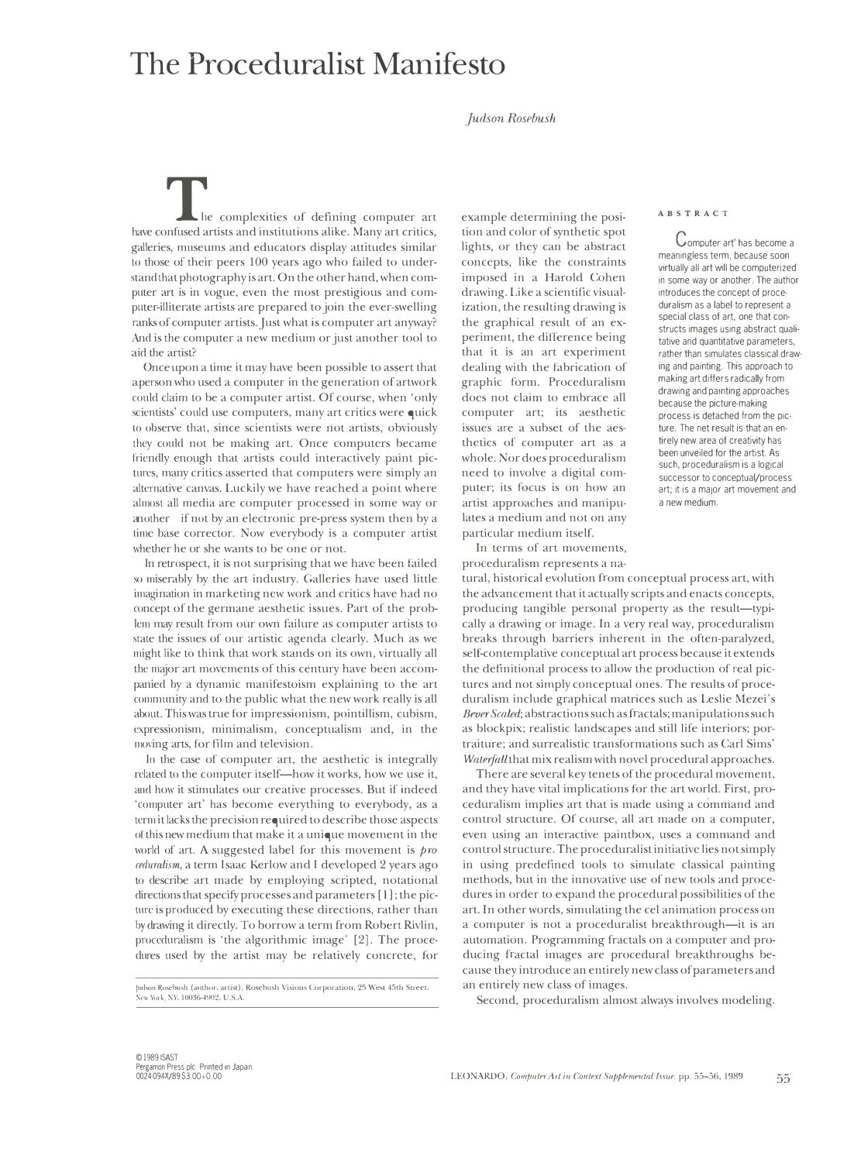## **The Proceduralist Manifesto**

## *Judson Rosebush*

he complexities of defining computer art have confused artists and institutions alike. Many art critics, galleries, museums and educators display attitudes similar to those of their peers 100 years ago who failed to understand that photography is art. On the other hand, when computer art is in vogue, even the most prestigious and computer-illiterate artists are prepared to join the ever-swelling ranks of computer artists. Just what is computer art anyway? And is the computer a new medium or just another tool to aid the artist?

Once upon a time it may have been possible to assert that a person who used a computer in the generation of artwork could claim to be a computer artist. Of course, when 'only sciemists' could use computers, many art critics were quick to observe that, since scientists were not artists, obviously they could not be making art. Once computers became friendly enough that artists could interactively paint pictures, many critics asserted that computers were simply an alternative canvas. Luckily we have reached a point where almost all media are computer processed in some way or another-if not by an electronic pre-press system then by a time base corrector. Now everybody is a computer artist whether he or she wants to be one or not.

In retrospect, it is not surprising that we have been failed so miserably by the art industry. Galleries have used little imagination in marketing new work and critics have had no concept of the germane aesthetic issues. Part of the problem may result from our own failure as computer artists to state the issues of our artistic agenda clearly. Much as we might like to think that work stands on its own, virtually all the major art movements of this century have been accompanied by a dynamic manifestoism explaining to the art community and to the public what the new work really is all about. This was true for impressionism, pointillism, cubism, expressionism, minimalism, conceptualism and, in the moving arts, for film and television.

In the case of computer art, the aesthetic is integrally related to the computer itself—how it works, how we use it, and how it stimulates our creative processes. But if indeed 'computer art' has become everything to everybody, as a term it lacks the precision required to describe those aspects of this new medium that make it a unique movement in the world of art. A suggested label for this movement is  $\mathit{pro}$ *mluralism,* a term Isaac Kerlow and I developed 2 years ago to describe art made by employing scripted, notational directions that specify processes and parameters [ l]; the picture is produced by executing these directions, rather than by drawing it directly. To borrow a term from Robert Rivlin, proceduralism is 'the algorithmic image' [2]. The procedures used by the artist may be relatively concrete, for

Judson Rosebush (author. artist), Rosebush Visions Corporation, 25 West 45th Street, *New York, NY, 10036-4902, U.S.A.* 

example determining the posi-<br> **ABSTRACT** tion and color of synthetic spot lights, or they can be abstract concepts, like the constraints imposed in a Harold Cohen drawing. Like a scientific visualization, the resulting drawing is the graphical result of an experiment, the difference being that it is an art experiment dealing with the fabrication of graphic form. Proceduralism does not claim to embrace all computer art; its aesthetic issues are a subset of the aesthetics of computer art as a whole. Nor does proceduralism need to involve a digital computer; its focus is on how an artist approaches and manipulates a medium and not on any particular medium itself.

In terms of art movements, proceduralism represents a na-

tural, historical evolution from conceptual process art, with the advancement that it actually scripts and enacts concepts, producing tangible personal property as the result-typically a drawing or image. In a very real way, proceduralism breaks through barriers inherent in the often-paralyzed, self-contemplative conceptual art process because it extends the definitional process to allow the production of real pictures and not simply conceptual ones. The results of proceduralism include graphical matrices such as Leslie Mezei's Bever Scaled; abstractions such as fractals; manipulations such as blockpix; realistic landscapes and still life interiors; portraiture; and surrealistic transformations such as Carl Sims' *Waterfall* that mix realism with novel procedural approaches.

There are several key tenets of the procedural movement, and they have vital implications for the art world. First, proceduralism implies art that is made using a command and control structure. Of course, all art made on a computer, even using an interactive paintbox, uses a command and control structure. The proceduralist initiative lies not simply in using predefined tools to simulate classical painting methods, but in the innovative use of new tools and procedures in order to expand the procedural possibilities of the art. In other words, simulating the eel animation process on a computer is not a proceduralist breakthrough-it is an automation. Programming fractals on a computer and producing fractal images are procedural breakthroughs because they introduce an entirely new class of parameters and an entirely new class of images.

Second, proceduralism almost always involves modeling.

Computer art' has become a meaningless term, because soon virtually all art will be computerized in some way or another. The author introduces the concept of proceduralism as a label to represent a special class of art, one that constructs images using abstract qualitative and quantitative parameters, rather than simulates classical drawing and painting. This approach to making art differs radically from drawing and painting approaches because the picture-making process is detached from the picture. The net result is that an entirely new area of creativity has been unveiled for the artist. As such, proceduralism is a logical successor to conceptual/process art; it is a major art movement and a new medium.